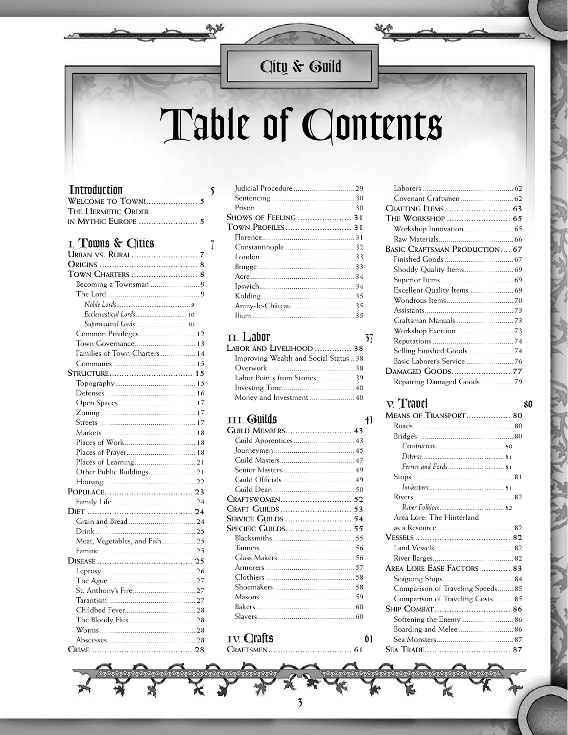### City & Guild

# Table of Contents

#### **Tntroduction**

| THE HERMETIC ORDER |  |
|--------------------|--|
|                    |  |

#### I. Towns & Cities

| TOWN CHARTERS  8              |  |
|-------------------------------|--|
|                               |  |
|                               |  |
|                               |  |
| Ecclesiastical Lords 10       |  |
| Supernatural Lords  10        |  |
| Common Privileges 12          |  |
| Town Governance 13            |  |
| Families of Town Charters 14  |  |
|                               |  |
|                               |  |
|                               |  |
|                               |  |
|                               |  |
|                               |  |
|                               |  |
|                               |  |
|                               |  |
|                               |  |
|                               |  |
|                               |  |
|                               |  |
|                               |  |
|                               |  |
|                               |  |
|                               |  |
|                               |  |
| Meat, Vegetables, and Fish 25 |  |
|                               |  |
|                               |  |
|                               |  |
|                               |  |
|                               |  |
|                               |  |
|                               |  |
|                               |  |
|                               |  |
|                               |  |
| $\sim$ $\sim$ $\sim$<br>CDIMF |  |

| SHOWS OF FEELING  31 |  |
|----------------------|--|
| Town Profiles 31     |  |
|                      |  |
|                      |  |
|                      |  |
|                      |  |
|                      |  |
|                      |  |
|                      |  |
|                      |  |
|                      |  |
|                      |  |

#### **II.** Labor

 $\mathbf{\hat{S}}$ 

 $\overline{\mathcal{X}}$ 

| Labor and Livelihood  38              |  |
|---------------------------------------|--|
| Improving Wealth and Social Status 38 |  |
|                                       |  |
|                                       |  |
|                                       |  |
| Money and Investment 40               |  |
|                                       |  |

#### **III.** Guilds

| Guild Members 43   |  |
|--------------------|--|
|                    |  |
|                    |  |
|                    |  |
|                    |  |
|                    |  |
|                    |  |
| Craftswomen 52     |  |
| CRAFT GUILDS  53   |  |
| SERVICE GUILDS  54 |  |
| Specific Guilds 55 |  |
|                    |  |
|                    |  |
|                    |  |
|                    |  |
|                    |  |
|                    |  |
|                    |  |
|                    |  |
|                    |  |
|                    |  |

 $\overline{\mathbf{5}}$ 

#### IV. Crafts CRAFTSMEN..............................

| Area Lore: The Hinterland        |  |
|----------------------------------|--|
|                                  |  |
|                                  |  |
|                                  |  |
|                                  |  |
| AREA LORE EASE FACTORS  83       |  |
|                                  |  |
| Comparison of Traveling Speeds85 |  |
| Comparison of Traveling Costs85  |  |
|                                  |  |
|                                  |  |
| Boarding and Melee 86            |  |
|                                  |  |
|                                  |  |



#### $\nabla$ . Travel MEANS OF TRANSPORT................... 80

 $57$ 

 $41$ 

 $61$ 

61

80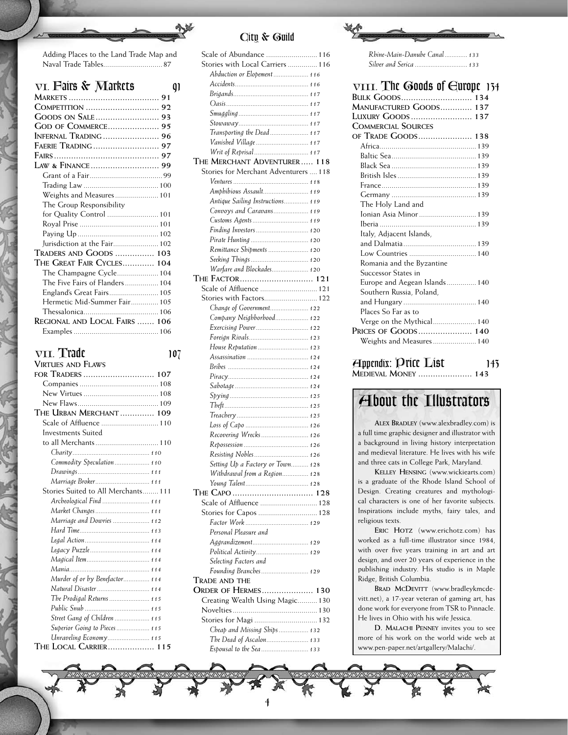| Adding Places to the Land Trade Map and |
|-----------------------------------------|
|                                         |

| VI. Fairs & Markets            |  |
|--------------------------------|--|
|                                |  |
|                                |  |
|                                |  |
| <b>GOD OF COMMERCE 95</b>      |  |
| INFERNAL TRADING  96           |  |
|                                |  |
|                                |  |
|                                |  |
|                                |  |
|                                |  |
| Weights and Measures 101       |  |
| The Group Responsibility       |  |
| for Quality Control  101       |  |
|                                |  |
|                                |  |
|                                |  |
| TRADERS AND GOODS  103         |  |
| The Great Fair Cycles 104      |  |
|                                |  |
| The Five Fairs of Flanders 104 |  |
|                                |  |
| Hermetic Mid-Summer Fair 105   |  |
|                                |  |
| REGIONAL AND LOCAL FAIRS  106  |  |
|                                |  |

| 107 |
|-----|
|     |

| <b>VIRTUES AND FLAWS</b>            |
|-------------------------------------|
| for Traders  107                    |
|                                     |
|                                     |
|                                     |
| The Urban Merchant  109             |
|                                     |
| Investments Suited                  |
| to all Merchants 110                |
|                                     |
| Commodity Speculation 110           |
|                                     |
| Marriage Broker 111                 |
| Stories Suited to All Merchants 111 |
| Archeological Find  111             |
| Market Changes  111                 |
| Marriage and Dowries  112           |
|                                     |
|                                     |
|                                     |
|                                     |
|                                     |
| Murder of or by Benefactor 114      |
| Natural Disaster  114               |
| The Prodigal Returns  115           |
|                                     |
| Street Gang of Children  115        |
| Superior Going to Pieces 115        |
| Unraveling Economy 115              |
| THE LOCAL CARRIER 115               |

#### *City & Guild*

| Scale of Abundance  116                                   |  |
|-----------------------------------------------------------|--|
| Stories with Local Carriers  116                          |  |
| Abduction or Elopement  116                               |  |
|                                                           |  |
|                                                           |  |
|                                                           |  |
|                                                           |  |
|                                                           |  |
| Transporting the Dead 117                                 |  |
| Vanished Village  117                                     |  |
| Writ of Reprisal 117                                      |  |
| THE MERCHANT ADVENTURER 118                               |  |
| Stories for Merchant Adventurers  118                     |  |
|                                                           |  |
| Amphibious Assault 119                                    |  |
| Antique Sailing Instructions 119                          |  |
| Convoys and Caravans 119                                  |  |
| Customs Agents 119                                        |  |
| Finding Investors 120                                     |  |
|                                                           |  |
| Remittance Shipments  120                                 |  |
| Seeking Things 120                                        |  |
| Warfare and Blockades 120                                 |  |
| THE FACTOR 121                                            |  |
| Scale of Affluence  121                                   |  |
|                                                           |  |
| Stories with Factors 122                                  |  |
| Change of Government 122                                  |  |
| Company Neighborhood 122                                  |  |
| Exercising Power 122                                      |  |
| Foreign Rivals 123                                        |  |
| House Reputation  123                                     |  |
| Assassination  124                                        |  |
|                                                           |  |
|                                                           |  |
|                                                           |  |
|                                                           |  |
|                                                           |  |
|                                                           |  |
|                                                           |  |
| Recovering Wrecks 126                                     |  |
|                                                           |  |
| Resisting Nobles  126                                     |  |
| Setting Up a Factory or Town 128                          |  |
| Withdrawal from a Region 128                              |  |
|                                                           |  |
|                                                           |  |
|                                                           |  |
| Scale of Affluence  128                                   |  |
| Stories for Capos  128                                    |  |
|                                                           |  |
| Personal Pleasure and                                     |  |
| Aggrandizement 129                                        |  |
| Political Activity 129                                    |  |
| Selecting Factors and                                     |  |
| Founding Branches 129                                     |  |
| Trade and the                                             |  |
|                                                           |  |
| Creating Wealth Using Magic 130                           |  |
|                                                           |  |
| Stories for Magi  132                                     |  |
| <b>ORDER OF HERMES 130</b><br>Cheap and Missing Ships 132 |  |
| The Dead of Ascalon 133                                   |  |

*Rhine-Main-Danube Canal.............133*

*Silver and Serica ..............................133*

| VIII. The Goods of Gurope 134                                             |
|---------------------------------------------------------------------------|
| <b>BULK GOODS 134</b>                                                     |
| MANUFACTURED GOODS 137                                                    |
| LUXURY GOODS  137                                                         |
| <b>COMMERCIAL SOURCES</b>                                                 |
| OF TRADE GOODS 138                                                        |
|                                                                           |
|                                                                           |
|                                                                           |
|                                                                           |
|                                                                           |
|                                                                           |
| The Holy Land and                                                         |
| Ionian Asia Minor  139                                                    |
|                                                                           |
| Italy, Adjacent Islands,                                                  |
|                                                                           |
|                                                                           |
| Romania and the Byzantine                                                 |
| Successor States in                                                       |
| Europe and Aegean Islands 140                                             |
| Southern Russia, Poland,                                                  |
|                                                                           |
| Places So Far as to                                                       |
|                                                                           |
| PRICES OF GOODS 140                                                       |
| Weights and Measures 140                                                  |
| $\overline{\mathbf{A}}$ ppendix: Price $\overline{\mathbf{L}}$ ist<br>143 |
| <b>MEDIEVAL MONEY  143</b>                                                |

### *About the Illustrators*

**Alex Bradley** (www.alexbradley.com) is a full time graphic designer and illustrator with a background in living history interpretation and medieval literature. He lives with his wife and three cats in College Park, Maryland.

**Kelley Hensing** (www.wickiearts.com) is a graduate of the Rhode Island School of Design. Creating creatures and mythological characters is one of her favorite subjects. Inspirations include myths, fairy tales, and religious texts.

ERIC HOTZ (www.erichotz.com) has worked as a full-time illustrator since 1984, with over five years training in art and art design, and over 20 years of experience in the publishing industry. His studio is in Maple Ridge, British Columbia.

BRAD MCDEVITT (www.bradleykmcdevitt.net), a 17-year veteran of gaming art, has done work for everyone from TSR to Pinnacle. He lives in Ohio with his wife Jessica.

**D. Malachi Penney** invites you to see more of his work on the world wide web at www.pen-paper.net/artgallery/Malachi/.

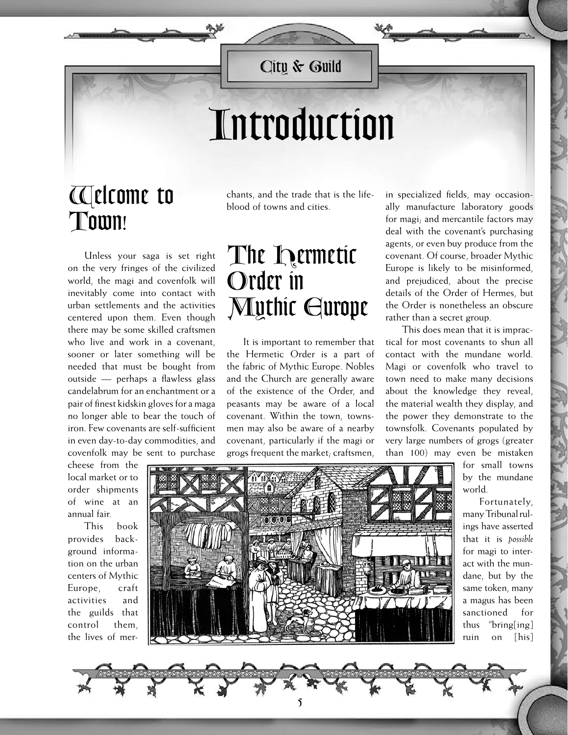*City & Guild*

## *Introduction*

## *Welcome to Town!*

chants, and the trade that is the lifeblood of towns and cities.

Unless your saga is set right on the very fringes of the civilized world, the magi and covenfolk will inevitably come into contact with urban settlements and the activities centered upon them. Even though there may be some skilled craftsmen who live and work in a covenant, sooner or later something will be needed that must be bought from outside — perhaps a flawless glass candelabrum for an enchantment or a pair of finest kidskin gloves for a maga no longer able to bear the touch of iron. Few covenants are self-sufficient in even day-to-day commodities, and covenfolk may be sent to purchase

cheese from the local market or to order shipments of wine at an annual fair.

This book provides background information on the urban centers of Mythic Europe, craft activities and the guilds that control them, the lives of mer*The Hermetic Order in* 

*Mythic Europe* It is important to remember that

the Hermetic Order is a part of the fabric of Mythic Europe. Nobles and the Church are generally aware of the existence of the Order, and peasants may be aware of a local covenant. Within the town, townsmen may also be aware of a nearby covenant, particularly if the magi or grogs frequent the market; craftsmen,

in specialized fields, may occasionally manufacture laboratory goods for magi; and mercantile factors may deal with the covenant's purchasing agents, or even buy produce from the covenant. Of course, broader Mythic Europe is likely to be misinformed, and prejudiced, about the precise details of the Order of Hermes, but the Order is nonetheless an obscure rather than a secret group.

This does mean that it is impractical for most covenants to shun all contact with the mundane world. Magi or covenfolk who travel to town need to make many decisions about the knowledge they reveal, the material wealth they display, and the power they demonstrate to the townsfolk. Covenants populated by very large numbers of grogs (greater than 100) may even be mistaken

for small towns by the mundane world.

Fortunately, many Tribunal rulings have asserted that it is *possible* for magi to interact with the mundane, but by the same token, many a magus has been sanctioned for thus "bring[ing] ruin on [his]



 $\mathbf{\hat{5}}$